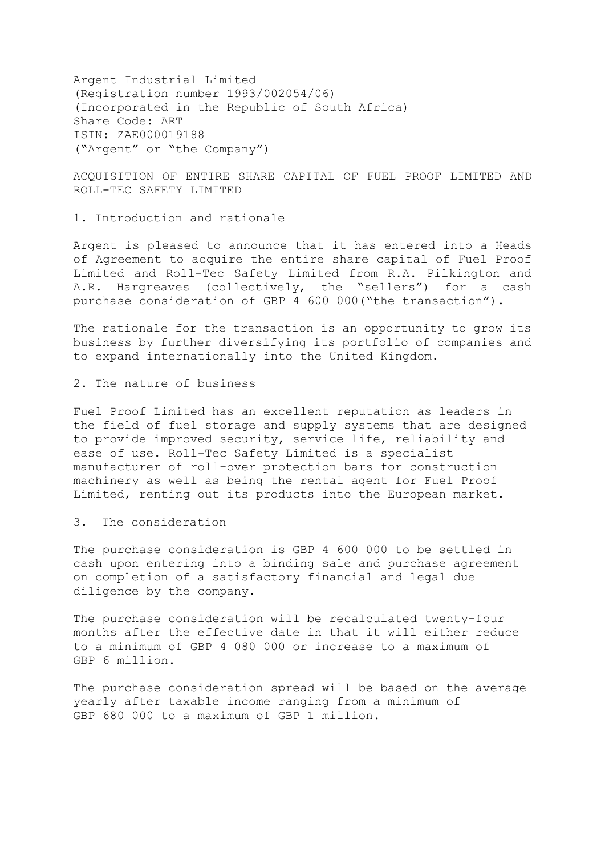Argent Industrial Limited (Registration number 1993/002054/06) (Incorporated in the Republic of South Africa) Share Code: ART ISIN: ZAE000019188 ("Argent" or "the Company")

ACQUISITION OF ENTIRE SHARE CAPITAL OF FUEL PROOF LIMITED AND ROLL-TEC SAFETY LIMITED

1. Introduction and rationale

Argent is pleased to announce that it has entered into a Heads of Agreement to acquire the entire share capital of Fuel Proof Limited and Roll-Tec Safety Limited from R.A. Pilkington and A.R. Hargreaves (collectively, the "sellers") for a cash purchase consideration of GBP 4 600 000("the transaction").

The rationale for the transaction is an opportunity to grow its business by further diversifying its portfolio of companies and to expand internationally into the United Kingdom.

2. The nature of business

Fuel Proof Limited has an excellent reputation as leaders in the field of fuel storage and supply systems that are designed to provide improved security, service life, reliability and ease of use. Roll-Tec Safety Limited is a specialist manufacturer of roll-over protection bars for construction machinery as well as being the rental agent for Fuel Proof Limited, renting out its products into the European market.

3. The consideration

The purchase consideration is GBP 4 600 000 to be settled in cash upon entering into a binding sale and purchase agreement on completion of a satisfactory financial and legal due diligence by the company.

The purchase consideration will be recalculated twenty-four months after the effective date in that it will either reduce to a minimum of GBP 4 080 000 or increase to a maximum of GBP 6 million.

The purchase consideration spread will be based on the average yearly after taxable income ranging from a minimum of GBP 680 000 to a maximum of GBP 1 million.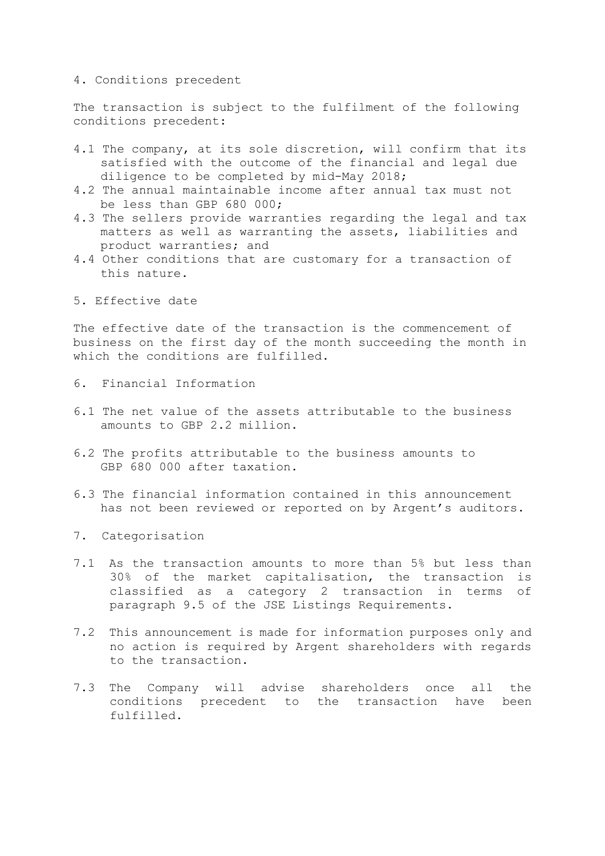## 4. Conditions precedent

The transaction is subject to the fulfilment of the following conditions precedent:

- 4.1 The company, at its sole discretion, will confirm that its satisfied with the outcome of the financial and legal due diligence to be completed by mid-May 2018;
- 4.2 The annual maintainable income after annual tax must not be less than GBP 680 000;
- 4.3 The sellers provide warranties regarding the legal and tax matters as well as warranting the assets, liabilities and product warranties; and
- 4.4 Other conditions that are customary for a transaction of this nature.
- 5. Effective date

The effective date of the transaction is the commencement of business on the first day of the month succeeding the month in which the conditions are fulfilled.

- 6. Financial Information
- 6.1 The net value of the assets attributable to the business amounts to GBP 2.2 million.
- 6.2 The profits attributable to the business amounts to GBP 680 000 after taxation.
- 6.3 The financial information contained in this announcement has not been reviewed or reported on by Argent's auditors.
- 7. Categorisation
- 7.1 As the transaction amounts to more than 5% but less than 30% of the market capitalisation, the transaction is classified as a category 2 transaction in terms of paragraph 9.5 of the JSE Listings Requirements.
- 7.2 This announcement is made for information purposes only and no action is required by Argent shareholders with regards to the transaction.
- 7.3 The Company will advise shareholders once all the conditions precedent to the transaction have been fulfilled.